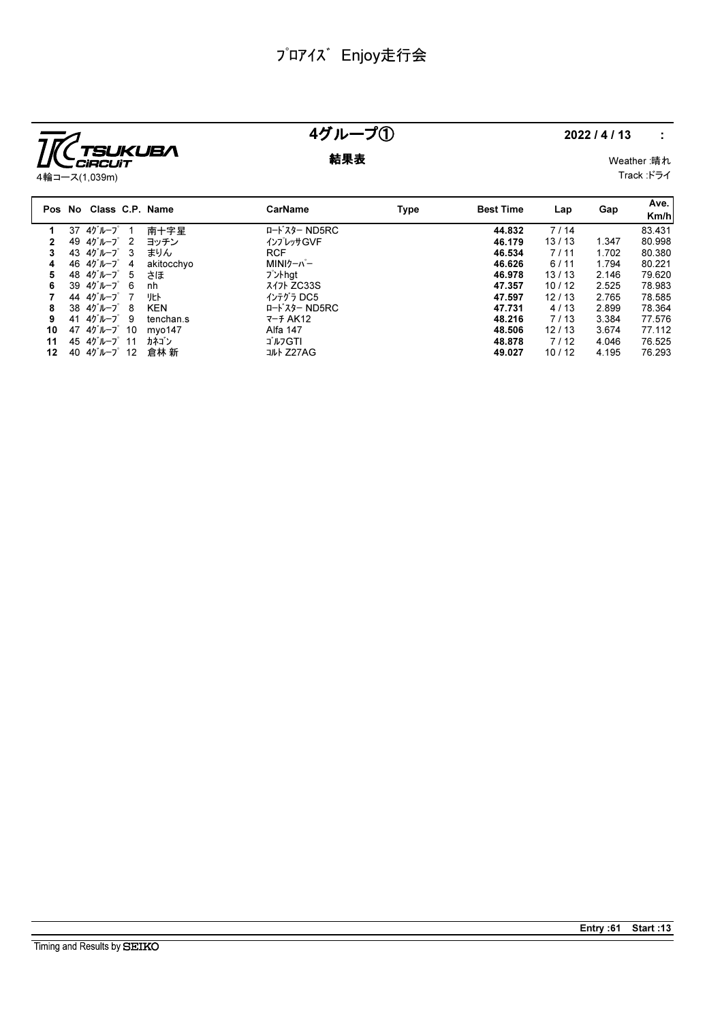

## 4グループ① 2022/4/13 :

**結果表** Weather :晴れ Track :ドライ

|    |    | Pos No Class C.P. Name                 |            | <b>CarName</b> | Type | <b>Best Time</b> | Lap   | Gap   | Ave.<br>Km/h |
|----|----|----------------------------------------|------------|----------------|------|------------------|-------|-------|--------------|
| 1  |    | 37 4グループ                               | 南十字星       | ロードスター ND5RC   |      | 44.832           | 7/14  |       | 83.431       |
|    |    | 49 4ゲループ 2                             | ヨッチン       | インプレッサGVF      |      | 46.179           | 13/13 | 1.347 | 80.998       |
| 3  |    | 43 $45 - 7$ 3                          | まりん        | <b>RCF</b>     |      | 46.534           | 7/11  | 1.702 | 80.380       |
| 4  |    | 46 4ゲループ<br>-4                         | akitocchyo | MINIケーパー       |      | 46.626           | 6/11  | 1.794 | 80.221       |
| 5  |    | 48 $45 - 7$ 5                          | さほ         | プントhat         |      | 46.978           | 13/13 | 2.146 | 79.620       |
| 6  |    | 39 $45 - 7$ 6                          | nh         | 317 ZC33S      |      | 47.357           | 10/12 | 2.525 | 78.983       |
|    |    | 44 4ゲループ 7                             | リヒト        | インテグラ DC5      |      | 47.597           | 12/13 | 2.765 | 78.585       |
| 8  |    | $38 \t40^{\circ}$ $\mu$ $-7^{\circ}$ 8 | <b>KEN</b> | ロードスター ND5RC   |      | 47.731           | 4/13  | 2.899 | 78.364       |
| 9  | 41 | 4グループ9                                 | tenchan.s  | $7 - 7$ AK12   |      | 48.216           | 7/13  | 3.384 | 77.576       |
| 10 |    | 47 $45 - 7$ 10                         | myo147     | Alfa 147       |      | 48.506           | 12/13 | 3.674 | 77.112       |
| 11 |    | 45 $45 - 7$ 11                         | カネゴン       | ゴルフGTI         |      | 48.878           | 7/12  | 4.046 | 76.525       |
| 12 |    | 40 4グループ 12                            | 倉林 新       | コルト Z27AG      |      | 49.027           | 10/12 | 4.195 | 76.293       |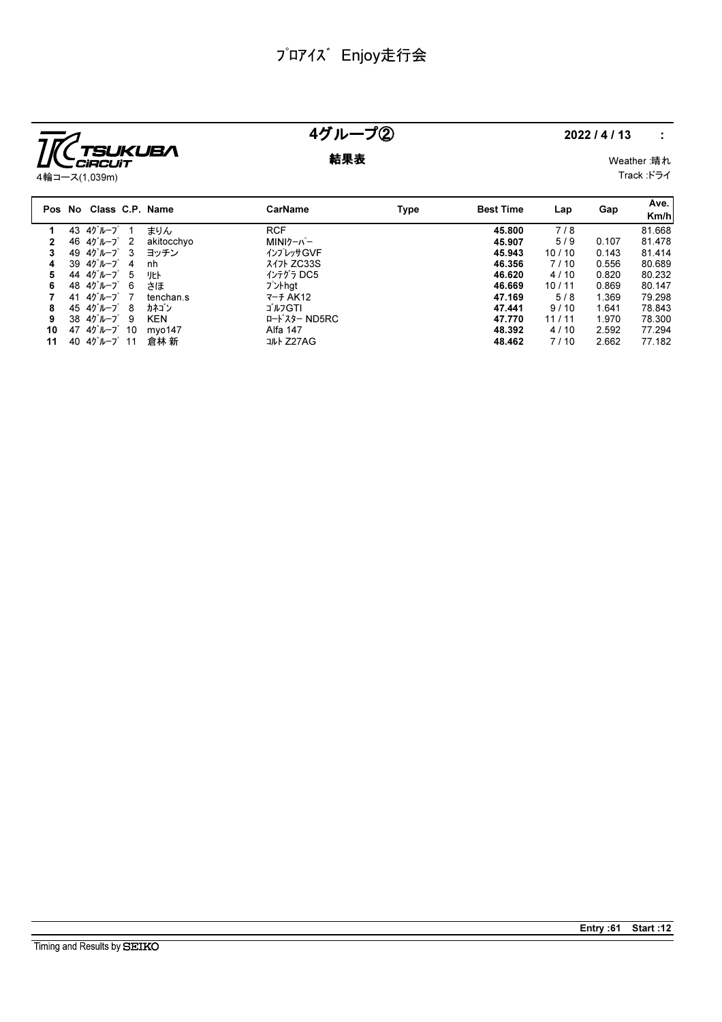

## 4グループ② 2022/4/13 :

**結果表** Weather :晴れ Track :ドライ

|    |    | Pos No Class C.P. Name                 |            | CarName           | Type | <b>Best Time</b> | Lap   | Gap   | Ave.<br>Km/h |
|----|----|----------------------------------------|------------|-------------------|------|------------------|-------|-------|--------------|
|    |    | 43 4グループ                               | まりん        | <b>RCF</b>        |      | 45.800           | 7/8   |       | 81.668       |
|    |    | 46 4グループ<br>$\overline{2}$             | akitocchyo | MINIケーパー          |      | 45.907           | 5/9   | 0.107 | 81.478       |
| 3  |    | 49 $45 - 7$ 3                          | ヨッチン       | インプレッサGVF         |      | 45.943           | 10/10 | 0.143 | 81.414       |
| 4  |    | $39\;40^{\circ}\,$<br>-4               | nh         | <b>3471 ZC33S</b> |      | 46.356           | 7/10  | 0.556 | 80.689       |
| 5  |    | 44 4ケループ<br>5                          |            | インテグラ DC5         |      | 46.620           | 4/10  | 0.820 | 80.232       |
| 6  |    | 48 $45 - 7$ 6                          | さほ         | プントhat            |      | 46.669           | 10/11 | 0.869 | 80.147       |
|    | 41 | 4グループ 7                                | tenchan.s  | $7 - 7$ AK12      |      | 47.169           | 5/8   | 1.369 | 79.298       |
| 8  |    | 45 $45 - 7$ 8                          | カネゴン       | ゴルフGTI            |      | 47.441           | 9/10  | 1.641 | 78.843       |
| 9  |    | $38 \t40^{\circ}$ $\mu$ $-7^{\circ}$ 9 | <b>KEN</b> | ロードスター ND5RC      |      | 47.770           | 11/11 | 1.970 | 78.300       |
| 10 |    | 47 $45 - 7$ 10                         | mvo147     | Alfa 147          |      | 48.392           | 4/10  | 2.592 | 77.294       |
| 11 | 40 | 4グループ 11                               | 倉林 新       | コルト Z27AG         |      | 48.462           | 7/10  | 2.662 | 77.182       |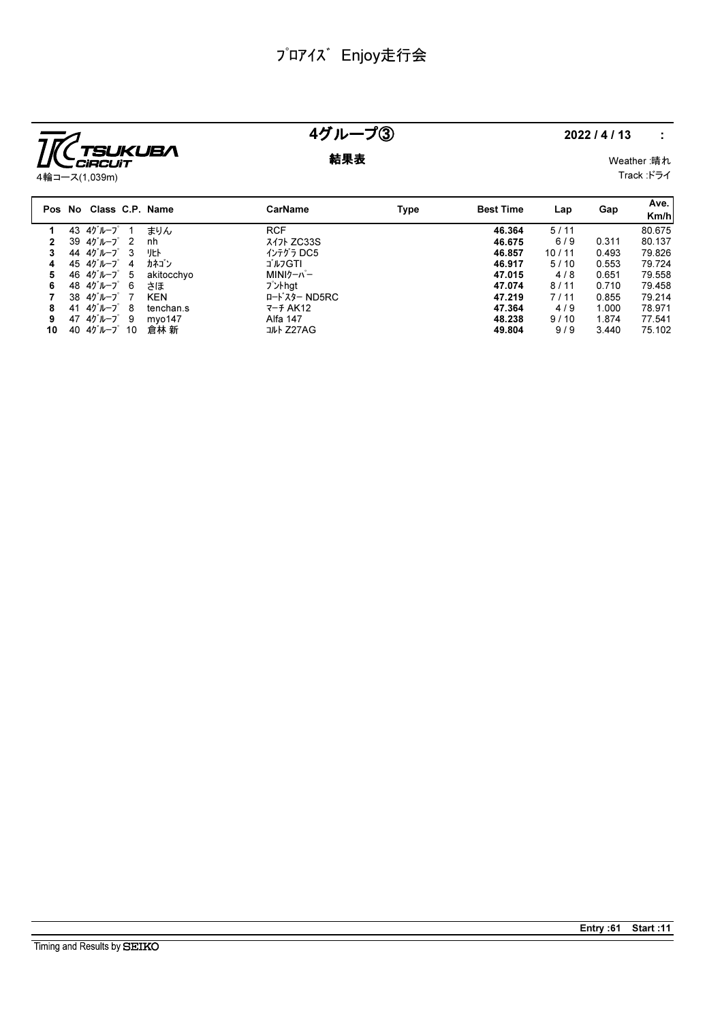

# 4グループ③ 2022/4/13 :

**結果表** Weather :晴れ

Track :ドライ

|    |    | Pos No Class C.P. Name                 |            | CarName      | Type | <b>Best Time</b> | Lap   | Gap   | Ave.<br>Km/h |
|----|----|----------------------------------------|------------|--------------|------|------------------|-------|-------|--------------|
|    |    | 43 $45 - 7$                            | まりん        | <b>RCF</b>   |      | 46.364           | 5/11  |       | 80.675       |
|    |    | 39 $45^{\circ}$ $h - 7^{\circ}$<br>- 2 | nh         | スイフト ZC33S   |      | 46.675           | 6/9   | 0.311 | 80.137       |
|    |    | 44 $45 - 7$ 3                          |            | インテグラ DC5    |      | 46.857           | 10/11 | 0.493 | 79.826       |
| 4  |    | 45 $45 - 7$ 4                          | カネゴン       | ゴルフGTI       |      | 46.917           | 5/10  | 0.553 | 79.724       |
| 5  |    | 46 $45 - 7$ 5                          | akitocchyo | MINIクーパー     |      | 47.015           | 4/8   | 0.651 | 79.558       |
| 6  |    | 48 $45 - 7$ 6                          | さほ         | プントhat       |      | 47.074           | 8/11  | 0.710 | 79.458       |
|    |    | $38 \t47''$ $-7^\circ$ 7               | <b>KEN</b> | ロードスター ND5RC |      | 47.219           | 7/11  | 0.855 | 79.214       |
| 8  | 41 | 4グループ 8                                | tenchan.s  | $7 - 7$ AK12 |      | 47.364           | 4/9   | 1.000 | 78.971       |
| 9  |    | 47 $45 - 7$ 9                          | mvo147     | Alfa 147     |      | 48.238           | 9/10  | 1.874 | 77.541       |
| 10 | 40 | 4グループ 10                               | 倉林 新       | コルト Z27AG    |      | 49.804           | 9/9   | 3.440 | 75.102       |